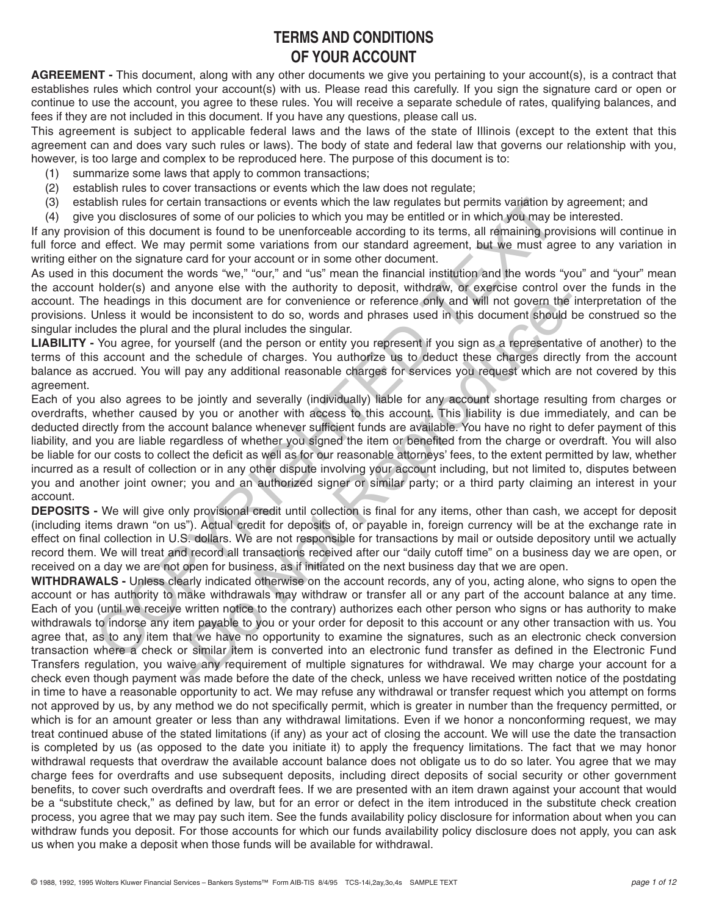# **TERMS AND CONDITIONS OF YOUR ACCOUNT**

**AGREEMENT -** This document, along with any other documents we give you pertaining to your account(s), is a contract that establishes rules which control your account(s) with us. Please read this carefully. If you sign the signature card or open or continue to use the account, you agree to these rules. You will receive a separate schedule of rates, qualifying balances, and fees if they are not included in this document. If you have any questions, please call us.

This agreement is subject to applicable federal laws and the laws of the state of Illinois (except to the extent that this agreement can and does vary such rules or laws). The body of state and federal law that governs our relationship with you, however, is too large and complex to be reproduced here. The purpose of this document is to:

- (1) summarize some laws that apply to common transactions;
- (2) establish rules to cover transactions or events which the law does not regulate;
- (3) establish rules for certain transactions or events which the law regulates but permits variation by agreement; and
- (4) give you disclosures of some of our policies to which you may be entitled or in which you may be interested.

If any provision of this document is found to be unenforceable according to its terms, all remaining provisions will continue in full force and effect. We may permit some variations from our standard agreement, but we must agree to any variation in writing either on the signature card for your account or in some other document.

As used in this document the words "we," "our," and "us" mean the financial institution and the words "you" and "your" mean the account holder(s) and anyone else with the authority to deposit, withdraw, or exercise control over the funds in the account. The headings in this document are for convenience or reference only and will not govern the interpretation of the provisions. Unless it would be inconsistent to do so, words and phrases used in this document should be construed so the singular includes the plural and the plural includes the singular.

**LIABILITY -** You agree, for yourself (and the person or entity you represent if you sign as a representative of another) to the terms of this account and the schedule of charges. You authorize us to deduct these charges directly from the account balance as accrued. You will pay any additional reasonable charges for services you request which are not covered by this agreement.

Each of you also agrees to be jointly and severally (individually) liable for any account shortage resulting from charges or overdrafts, whether caused by you or another with access to this account. This liability is due immediately, and can be deducted directly from the account balance whenever sufficient funds are available. You have no right to defer payment of this liability, and you are liable regardless of whether you signed the item or benefited from the charge or overdraft. You will also be liable for our costs to collect the deficit as well as for our reasonable attorneys' fees, to the extent permitted by law, whether incurred as a result of collection or in any other dispute involving your account including, but not limited to, disputes between you and another joint owner; you and an authorized signer or similar party; or a third party claiming an interest in your account. this hit use for coefull transactions or events which the law regulates but permits vaniation by given disclosures of some of or prolicies to which you may be entitled or in which you may be entitled or in which you may be document are for convenience or reference only and will not govern the inconsistent to do so, words and phrases used in this document should lift by plural includes the singular.<br>
urself (and the person or entity you repre

**DEPOSITS -** We will give only provisional credit until collection is final for any items, other than cash, we accept for deposit (including items drawn "on us"). Actual credit for deposits of, or payable in, foreign currency will be at the exchange rate in effect on final collection in U.S. dollars. We are not responsible for transactions by mail or outside depository until we actually record them. We will treat and record all transactions received after our "daily cutoff time" on a business day we are open, or received on a day we are not open for business, as if initiated on the next business day that we are open.

**WITHDRAWALS -** Unless clearly indicated otherwise on the account records, any of you, acting alone, who signs to open the account or has authority to make withdrawals may withdraw or transfer all or any part of the account balance at any time. Each of you (until we receive written notice to the contrary) authorizes each other person who signs or has authority to make withdrawals to indorse any item payable to you or your order for deposit to this account or any other transaction with us. You agree that, as to any item that we have no opportunity to examine the signatures, such as an electronic check conversion transaction where a check or similar item is converted into an electronic fund transfer as defined in the Electronic Fund Transfers regulation, you waive any requirement of multiple signatures for withdrawal. We may charge your account for a check even though payment was made before the date of the check, unless we have received written notice of the postdating in time to have a reasonable opportunity to act. We may refuse any withdrawal or transfer request which you attempt on forms not approved by us, by any method we do not specifically permit, which is greater in number than the frequency permitted, or which is for an amount greater or less than any withdrawal limitations. Even if we honor a nonconforming request, we may treat continued abuse of the stated limitations (if any) as your act of closing the account. We will use the date the transaction is completed by us (as opposed to the date you initiate it) to apply the frequency limitations. The fact that we may honor withdrawal requests that overdraw the available account balance does not obligate us to do so later. You agree that we may charge fees for overdrafts and use subsequent deposits, including direct deposits of social security or other government benefits, to cover such overdrafts and overdraft fees. If we are presented with an item drawn against your account that would be a "substitute check," as defined by law, but for an error or defect in the item introduced in the substitute check creation process, you agree that we may pay such item. See the funds availability policy disclosure for information about when you can withdraw funds you deposit. For those accounts for which our funds availability policy disclosure does not apply, you can ask us when you make a deposit when those funds will be available for withdrawal.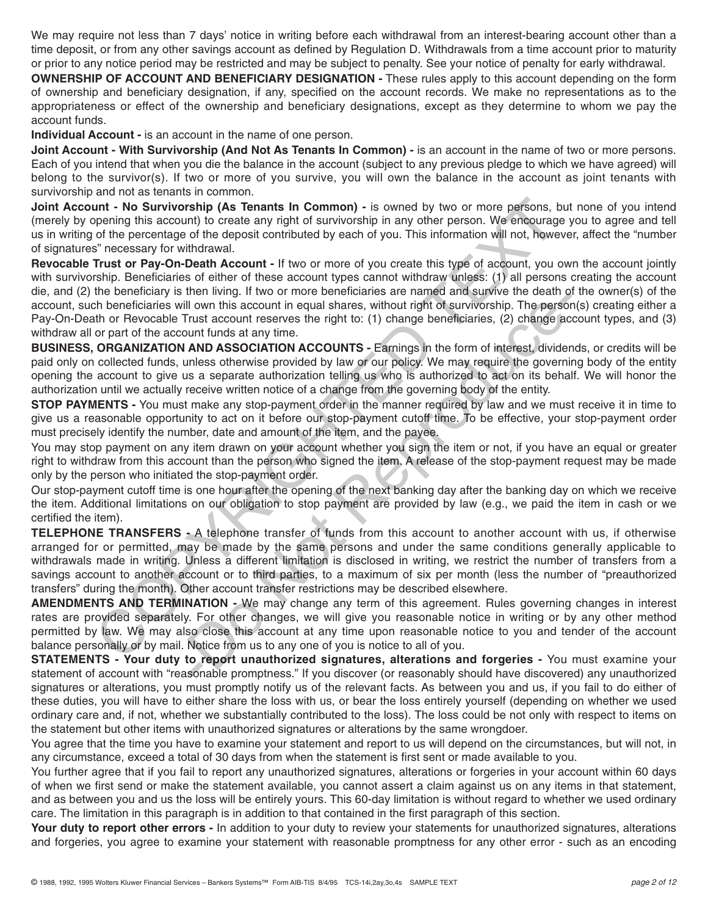We may require not less than 7 days' notice in writing before each withdrawal from an interest-bearing account other than a time deposit, or from any other savings account as defined by Regulation D. Withdrawals from a time account prior to maturity or prior to any notice period may be restricted and may be subject to penalty. See your notice of penalty for early withdrawal.

**OWNERSHIP OF ACCOUNT AND BENEFICIARY DESIGNATION -** These rules apply to this account depending on the form of ownership and beneficiary designation, if any, specified on the account records. We make no representations as to the appropriateness or effect of the ownership and beneficiary designations, except as they determine to whom we pay the account funds.

**Individual Account -** is an account in the name of one person.

**Joint Account - With Survivorship (And Not As Tenants In Common) -** is an account in the name of two or more persons. Each of you intend that when you die the balance in the account (subject to any previous pledge to which we have agreed) will belong to the survivor(s). If two or more of you survive, you will own the balance in the account as joint tenants with survivorship and not as tenants in common.

**Joint Account - No Survivorship (As Tenants In Common) -** is owned by two or more persons, but none of you intend (merely by opening this account) to create any right of survivorship in any other person. We encourage you to agree and tell us in writing of the percentage of the deposit contributed by each of you. This information will not, however, affect the "number of signatures" necessary for withdrawal.

**Revocable Trust or Pay-On-Death Account -** If two or more of you create this type of account, you own the account jointly with survivorship. Beneficiaries of either of these account types cannot withdraw unless: (1) all persons creating the account die, and (2) the beneficiary is then living. If two or more beneficiaries are named and survive the death of the owner(s) of the account, such beneficiaries will own this account in equal shares, without right of survivorship. The person(s) creating either a Pay-On-Death or Revocable Trust account reserves the right to: (1) change beneficiaries, (2) change account types, and (3) withdraw all or part of the account funds at any time. unt - No Survivorship (As Tenants In Common) - is owned by two or more parsons, buyendny this account to create any right of survivorship in any other persons. We necessary for withdrawal.<br>
of the percentage of the deposit

**BUSINESS, ORGANIZATION AND ASSOCIATION ACCOUNTS -** Earnings in the form of interest, dividends, or credits will be paid only on collected funds, unless otherwise provided by law or our policy. We may require the governing body of the entity opening the account to give us a separate authorization telling us who is authorized to act on its behalf. We will honor the authorization until we actually receive written notice of a change from the governing body of the entity.

**STOP PAYMENTS -** You must make any stop-payment order in the manner required by law and we must receive it in time to give us a reasonable opportunity to act on it before our stop-payment cutoff time. To be effective, your stop-payment order must precisely identify the number, date and amount of the item, and the payee.

You may stop payment on any item drawn on your account whether you sign the item or not, if you have an equal or greater right to withdraw from this account than the person who signed the item. A release of the stop-payment request may be made only by the person who initiated the stop-payment order.

Our stop-payment cutoff time is one hour after the opening of the next banking day after the banking day on which we receive the item. Additional limitations on our obligation to stop payment are provided by law (e.g., we paid the item in cash or we certified the item).

**TELEPHONE TRANSFERS -** A telephone transfer of funds from this account to another account with us, if otherwise arranged for or permitted, may be made by the same persons and under the same conditions generally applicable to withdrawals made in writing. Unless a different limitation is disclosed in writing, we restrict the number of transfers from a savings account to another account or to third parties, to a maximum of six per month (less the number of "preauthorized transfers" during the month). Other account transfer restrictions may be described elsewhere. Men many in two of minds are mailed and survivorship. The person<br>in dum this account in equal shares, without right of survivorship. The person<br>rust account reserves the right to: (1) change beneficiaries, (2) change ac<br>un

**AMENDMENTS AND TERMINATION -** We may change any term of this agreement. Rules governing changes in interest rates are provided separately. For other changes, we will give you reasonable notice in writing or by any other method permitted by law. We may also close this account at any time upon reasonable notice to you and tender of the account balance personally or by mail. Notice from us to any one of you is notice to all of you.

**STATEMENTS - Your duty to report unauthorized signatures, alterations and forgeries -** You must examine your statement of account with "reasonable promptness." If you discover (or reasonably should have discovered) any unauthorized signatures or alterations, you must promptly notify us of the relevant facts. As between you and us, if you fail to do either of these duties, you will have to either share the loss with us, or bear the loss entirely yourself (depending on whether we used ordinary care and, if not, whether we substantially contributed to the loss). The loss could be not only with respect to items on the statement but other items with unauthorized signatures or alterations by the same wrongdoer.

You agree that the time you have to examine your statement and report to us will depend on the circumstances, but will not, in any circumstance, exceed a total of 30 days from when the statement is first sent or made available to you.

You further agree that if you fail to report any unauthorized signatures, alterations or forgeries in your account within 60 days of when we first send or make the statement available, you cannot assert a claim against us on any items in that statement, and as between you and us the loss will be entirely yours. This 60-day limitation is without regard to whether we used ordinary care. The limitation in this paragraph is in addition to that contained in the first paragraph of this section.

Your duty to report other errors - In addition to your duty to review your statements for unauthorized signatures, alterations and forgeries, you agree to examine your statement with reasonable promptness for any other error - such as an encoding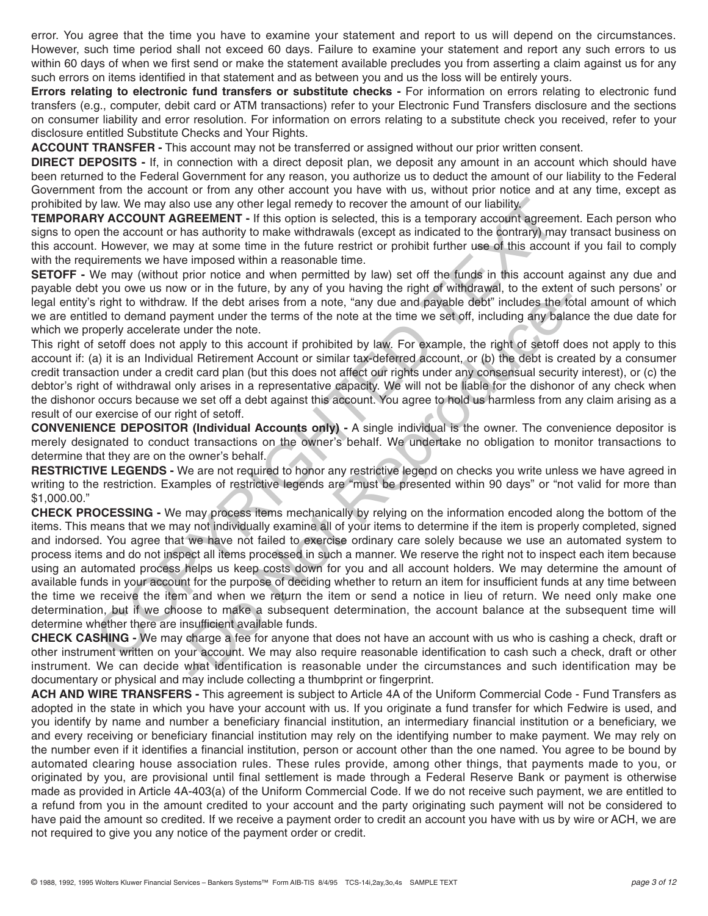error. You agree that the time you have to examine your statement and report to us will depend on the circumstances. However, such time period shall not exceed 60 days. Failure to examine your statement and report any such errors to us within 60 days of when we first send or make the statement available precludes you from asserting a claim against us for any such errors on items identified in that statement and as between you and us the loss will be entirely yours.

**Errors relating to electronic fund transfers or substitute checks - For information on errors relating to electronic fund** transfers (e.g., computer, debit card or ATM transactions) refer to your Electronic Fund Transfers disclosure and the sections on consumer liability and error resolution. For information on errors relating to a substitute check you received, refer to your disclosure entitled Substitute Checks and Your Rights.

**ACCOUNT TRANSFER -** This account may not be transferred or assigned without our prior written consent.

**DIRECT DEPOSITS -** If, in connection with a direct deposit plan, we deposit any amount in an account which should have been returned to the Federal Government for any reason, you authorize us to deduct the amount of our liability to the Federal Government from the account or from any other account you have with us, without prior notice and at any time, except as prohibited by law. We may also use any other legal remedy to recover the amount of our liability.

**TEMPORARY ACCOUNT AGREEMENT -** If this option is selected, this is a temporary account agreement. Each person who signs to open the account or has authority to make withdrawals (except as indicated to the contrary) may transact business on this account. However, we may at some time in the future restrict or prohibit further use of this account if you fail to comply with the requirements we have imposed within a reasonable time.

**SETOFF** - We may (without prior notice and when permitted by law) set off the funds in this account against any due and payable debt you owe us now or in the future, by any of you having the right of withdrawal, to the extent of such persons' or legal entity's right to withdraw. If the debt arises from a note, "any due and payable debt" includes the total amount of which we are entitled to demand payment under the terms of the note at the time we set off, including any balance the due date for which we properly accelerate under the note.

This right of setoff does not apply to this account if prohibited by law. For example, the right of setoff does not apply to this account if: (a) it is an Individual Retirement Account or similar tax-deferred account, or (b) the debt is created by a consumer credit transaction under a credit card plan (but this does not affect our rights under any consensual security interest), or (c) the debtor's right of withdrawal only arises in a representative capacity. We will not be liable for the dishonor of any check when the dishonor occurs because we set off a debt against this account. You agree to hold us harmless from any claim arising as a result of our exercise of our right of setoff.

**CONVENIENCE DEPOSITOR (Individual Accounts only) -** A single individual is the owner. The convenience depositor is merely designated to conduct transactions on the owner's behalf. We undertake no obligation to monitor transactions to determine that they are on the owner's behalf.

**RESTRICTIVE LEGENDS -** We are not required to honor any restrictive legend on checks you write unless we have agreed in writing to the restriction. Examples of restrictive legends are "must be presented within 90 days" or "not valid for more than \$1,000.00."

**CHECK PROCESSING -** We may process items mechanically by relying on the information encoded along the bottom of the items. This means that we may not individually examine all of your items to determine if the item is properly completed, signed and indorsed. You agree that we have not failed to exercise ordinary care solely because we use an automated system to process items and do not inspect all items processed in such a manner. We reserve the right not to inspect each item because using an automated process helps us keep costs down for you and all account holders. We may determine the amount of available funds in your account for the purpose of deciding whether to return an item for insufficient funds at any time between the time we receive the item and when we return the item or send a notice in lieu of return. We need only make one determination, but if we choose to make a subsequent determination, the account balance at the subsequent time will determine whether there are insufficient available funds. ly law. We may also use any other legal remety to recover the amount of our liability. How we move the section of the section of the section of the section of the section of the section of the section of the section of the If the debt arises from a note, "any due and payable debt" includes the tot under the errors of the note at the time we set off, including any balammet under the terms of the note at the time we set off, including any bal

**CHECK CASHING -** We may charge a fee for anyone that does not have an account with us who is cashing a check, draft or other instrument written on your account. We may also require reasonable identification to cash such a check, draft or other instrument. We can decide what identification is reasonable under the circumstances and such identification may be documentary or physical and may include collecting a thumbprint or fingerprint.

**ACH AND WIRE TRANSFERS -** This agreement is subject to Article 4A of the Uniform Commercial Code - Fund Transfers as adopted in the state in which you have your account with us. If you originate a fund transfer for which Fedwire is used, and you identify by name and number a beneficiary financial institution, an intermediary financial institution or a beneficiary, we and every receiving or beneficiary financial institution may rely on the identifying number to make payment. We may rely on the number even if it identifies a financial institution, person or account other than the one named. You agree to be bound by automated clearing house association rules. These rules provide, among other things, that payments made to you, or originated by you, are provisional until final settlement is made through a Federal Reserve Bank or payment is otherwise made as provided in Article 4A-403(a) of the Uniform Commercial Code. If we do not receive such payment, we are entitled to a refund from you in the amount credited to your account and the party originating such payment will not be considered to have paid the amount so credited. If we receive a payment order to credit an account you have with us by wire or ACH, we are not required to give you any notice of the payment order or credit.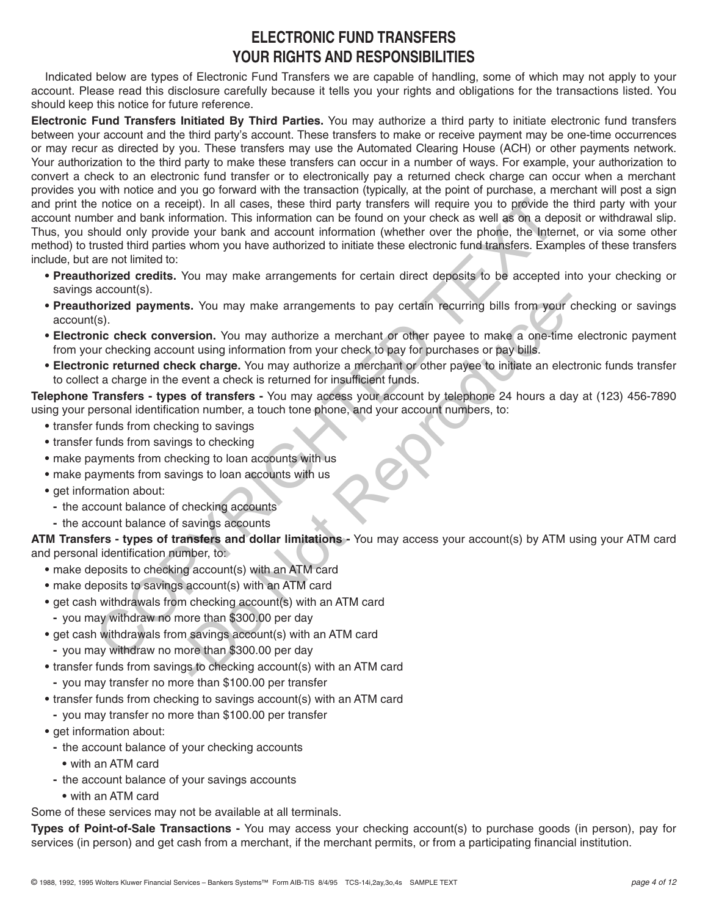# **ELECTRONIC FUND TRANSFERS YOUR RIGHTS AND RESPONSIBILITIES**

Indicated below are types of Electronic Fund Transfers we are capable of handling, some of which may not apply to your account. Please read this disclosure carefully because it tells you your rights and obligations for the transactions listed. You should keep this notice for future reference.

**Electronic Fund Transfers Initiated By Third Parties.** You may authorize a third party to initiate electronic fund transfers between your account and the third party's account. These transfers to make or receive payment may be one-time occurrences or may recur as directed by you. These transfers may use the Automated Clearing House (ACH) or other payments network. Your authorization to the third party to make these transfers can occur in a number of ways. For example, your authorization to convert a check to an electronic fund transfer or to electronically pay a returned check charge can occur when a merchant provides you with notice and you go forward with the transaction (typically, at the point of purchase, a merchant will post a sign and print the notice on a receipt). In all cases, these third party transfers will require you to provide the third party with your account number and bank information. This information can be found on your check as well as on a deposit or withdrawal slip. Thus, you should only provide your bank and account information (whether over the phone, the Internet, or via some other method) to trusted third parties whom you have authorized to initiate these electronic fund transfers. Examples of these transfers include, but are not limited to: is notice on a receipt). In all cases, these third party transfers will require you to provide the matter of the matter with required by the phone and electronic molecule only provide your bank and account information (whe

- **Preauthorized credits.** You may make arrangements for certain direct deposits to be accepted into your checking or savings account(s).
- **Preauthorized payments.** You may make arrangements to pay certain recurring bills from your checking or savings account(s). s. You may make arrangements to pay certain recurring bills from your<br>
sion. You may authorize a merchant or other payee to make a one-time<br>
int using information from your check to pay for purchases or pay bills.<br>
Ex char
- **Electronic check conversion.** You may authorize a merchant or other payee to make a one-time electronic payment from your checking account using information from your check to pay for purchases or pay bills.
- **Electronic returned check charge.** You may authorize a merchant or other payee to initiate an electronic funds transfer to collect a charge in the event a check is returned for insufficient funds.

**Telephone Transfers - types of transfers -** You may access your account by telephone 24 hours a day at (123) 456-7890 using your personal identification number, a touch tone phone, and your account numbers, to:

- **•** transfer funds from checking to savings
- **•** transfer funds from savings to checking
- **•** make payments from checking to loan accounts with us
- **•** make payments from savings to loan accounts with us
- **•** get information about:
- **-** the account balance of checking accounts
- **-** the account balance of savings accounts

**ATM Transfers - types of transfers and dollar limitations -** You may access your account(s) by ATM using your ATM card and personal identification number, to:

- **•** make deposits to checking account(s) with an ATM card
- **•** make deposits to savings account(s) with an ATM card
- **•** get cash withdrawals from checking account(s) with an ATM card
	- **-** you may withdraw no more than \$300.00 per day
- **•** get cash withdrawals from savings account(s) with an ATM card
- **-** you may withdraw no more than \$300.00 per day
- **•** transfer funds from savings to checking account(s) with an ATM card
	- **-** you may transfer no more than \$100.00 per transfer
- **•** transfer funds from checking to savings account(s) with an ATM card
- **-** you may transfer no more than \$100.00 per transfer
- **•** get information about:
	- **-** the account balance of your checking accounts
		- **•** with an ATM card
	- **-** the account balance of your savings accounts
	- **•** with an ATM card

Some of these services may not be available at all terminals.

**Types of Point-of-Sale Transactions -** You may access your checking account(s) to purchase goods (in person), pay for services (in person) and get cash from a merchant, if the merchant permits, or from a participating financial institution.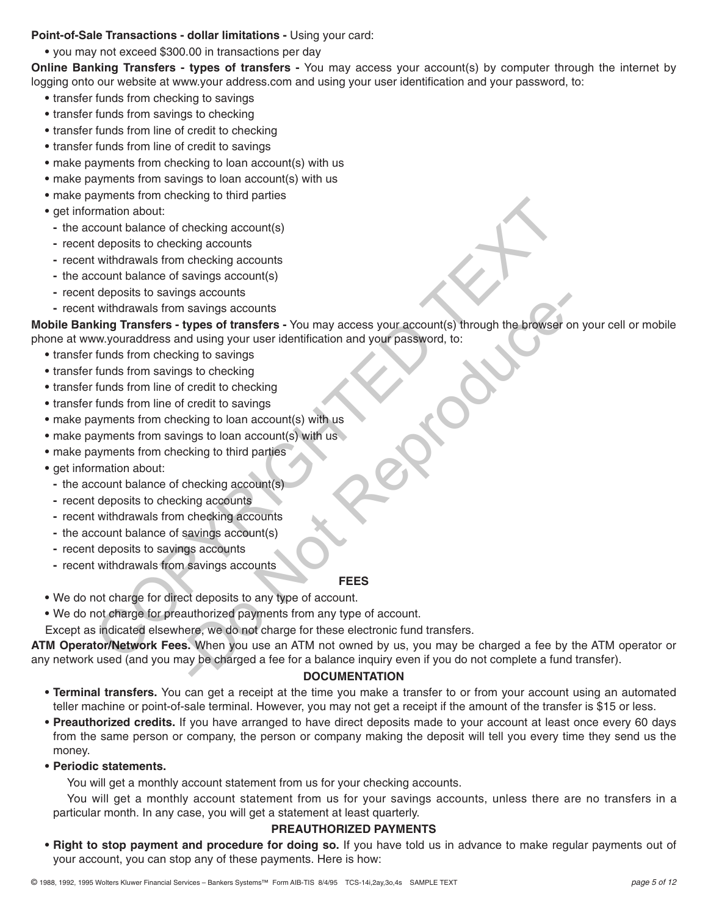### **Point-of-Sale Transactions - dollar limitations -** Using your card:

**•** you may not exceed \$300.00 in transactions per day

**Online Banking Transfers - types of transfers -** You may access your account(s) by computer through the internet by logging onto our website at www.your address.com and using your user identification and your password, to:

- **•** transfer funds from checking to savings
- **•** transfer funds from savings to checking
- **•** transfer funds from line of credit to checking
- **•** transfer funds from line of credit to savings
- **•** make payments from checking to loan account(s) with us
- **•** make payments from savings to loan account(s) with us
- **•** make payments from checking to third parties
- **•** get information about:
	- **-** the account balance of checking account(s)
	- **-** recent deposits to checking accounts
	- **-** recent withdrawals from checking accounts
	- **-** the account balance of savings account(s)
	- **-** recent deposits to savings accounts
	- **-** recent withdrawals from savings accounts

**Mobile Banking Transfers - types of transfers -** You may access your account(s) through the browser on your cell or mobile phone at www.youraddress and using your user identification and your password, to: (minution about:<br>
mation about:<br>
mation about:<br>
Indeposits to checking accounts<br>
(deposits to checking accounts)<br>
(deposits to savings accounts)<br>
(deposits to savings accounts)<br>
(deposits to savings accounts)<br>
(deposits to

- **•** transfer funds from checking to savings
- **•** transfer funds from savings to checking
- **•** transfer funds from line of credit to checking
- **•** transfer funds from line of credit to savings
- **•** make payments from checking to loan account(s) with us
- make payments from savings to loan account(s) with us
- **•** make payments from checking to third parties
- **•** get information about:
	- **-** the account balance of checking account(s)
	- **-** recent deposits to checking accounts
	- **-** recent withdrawals from checking accounts
	- **-** the account balance of savings account(s)
	- **-** recent deposits to savings accounts
	- **-** recent withdrawals from savings accounts

#### **FEES**

- **•** We do not charge for direct deposits to any type of account.
- **•** We do not charge for preauthorized payments from any type of account.
- Except as indicated elsewhere, we do not charge for these electronic fund transfers.

**ATM Operator/Network Fees.** When you use an ATM not owned by us, you may be charged a fee by the ATM operator or any network used (and you may be charged a fee for a balance inquiry even if you do not complete a fund transfer). Sacurius<br>
Savings accounts<br>
Savings accounts<br>
Savings of transfers - You may access your account(s) through the browser<br>
or dusing your user identification and your password, to:<br>
sto checking<br>
credit to savings<br>
credit to

#### **DOCUMENTATION**

- **Terminal transfers.** You can get a receipt at the time you make a transfer to or from your account using an automated teller machine or point-of-sale terminal. However, you may not get a receipt if the amount of the transfer is \$15 or less.
- **Preauthorized credits.** If you have arranged to have direct deposits made to your account at least once every 60 days from the same person or company, the person or company making the deposit will tell you every time they send us the money.

#### **• Periodic statements.**

You will get a monthly account statement from us for your checking accounts.

You will get a monthly account statement from us for your savings accounts, unless there are no transfers in a particular month. In any case, you will get a statement at least quarterly.

#### **PREAUTHORIZED PAYMENTS**

**• Right to stop payment and procedure for doing so.** If you have told us in advance to make regular payments out of your account, you can stop any of these payments. Here is how: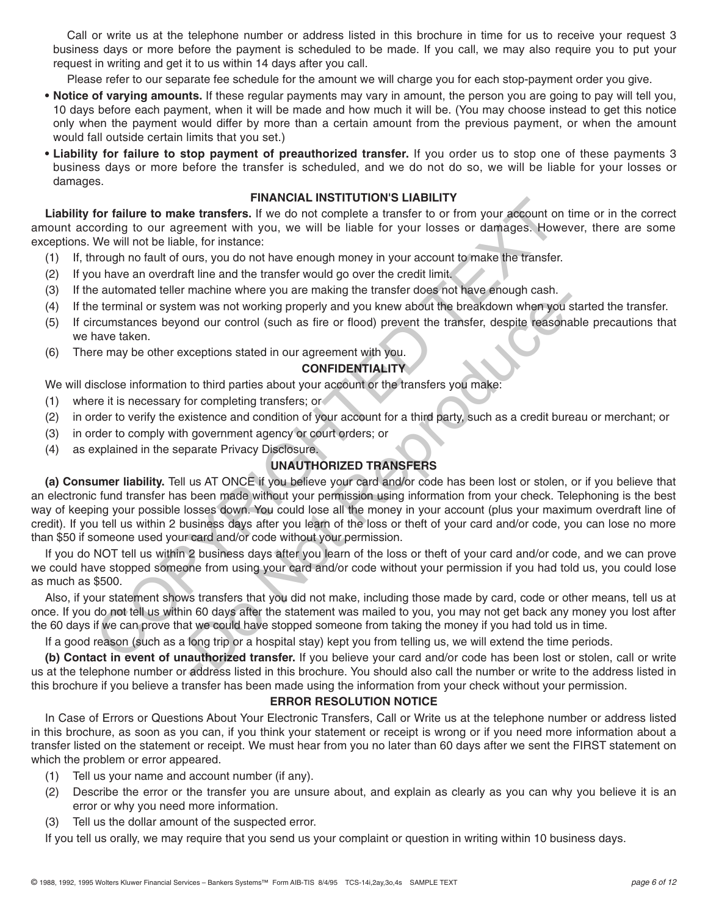Call or write us at the telephone number or address listed in this brochure in time for us to receive your request 3 business days or more before the payment is scheduled to be made. If you call, we may also require you to put your request in writing and get it to us within 14 days after you call.

Please refer to our separate fee schedule for the amount we will charge you for each stop-payment order you give.

- **Notice of varying amounts.** If these regular payments may vary in amount, the person you are going to pay will tell you, 10 days before each payment, when it will be made and how much it will be. (You may choose instead to get this notice only when the payment would differ by more than a certain amount from the previous payment, or when the amount would fall outside certain limits that you set.)
- **Liability for failure to stop payment of preauthorized transfer.** If you order us to stop one of these payments 3 business days or more before the transfer is scheduled, and we do not do so, we will be liable for your losses or damages.

# **FINANCIAL INSTITUTION'S LIABILITY**

**Liability for failure to make transfers.** If we do not complete a transfer to or from your account on time or in the correct amount according to our agreement with you, we will be liable for your losses or damages. However, there are some exceptions. We will not be liable, for instance:

- (1) If, through no fault of ours, you do not have enough money in your account to make the transfer.
- (2) If you have an overdraft line and the transfer would go over the credit limit.
- (3) If the automated teller machine where you are making the transfer does not have enough cash.
- (4) If the terminal or system was not working properly and you knew about the breakdown when you started the transfer.
- (5) If circumstances beyond our control (such as fire or flood) prevent the transfer, despite reasonable precautions that we have taken.
- (6) There may be other exceptions stated in our agreement with you.

## **CONFIDENTIALITY**

We will disclose information to third parties about your account or the transfers you make:

- (1) where it is necessary for completing transfers; or
- (2) in order to verify the existence and condition of your account for a third party, such as a credit bureau or merchant; or
- (3) in order to comply with government agency or court orders; or
- (4) as explained in the separate Privacy Disclosure.

# **UNAUTHORIZED TRANSFERS**

**(a) Consumer liability.** Tell us AT ONCE if you believe your card and/or code has been lost or stolen, or if you believe that an electronic fund transfer has been made without your permission using information from your check. Telephoning is the best way of keeping your possible losses down. You could lose all the money in your account (plus your maximum overdraft line of credit). If you tell us within 2 business days after you learn of the loss or theft of your card and/or code, you can lose no more than \$50 if someone used your card and/or code without your permission. For failure to make transfers. If we do not complete a transfer to form opur account on the control to our agreement with you, we will be liable for your losses or damages. However, the will not be liable, for instance:<br>We maximum was not working the valuation when you can<br>m was not working properly and you knew about the breakdown when you<br>in m was not working properly and you knew about the breakdown when you<br>and our control (such as fire

If you do NOT tell us within 2 business days after you learn of the loss or theft of your card and/or code, and we can prove we could have stopped someone from using your card and/or code without your permission if you had told us, you could lose as much as \$500.

Also, if your statement shows transfers that you did not make, including those made by card, code or other means, tell us at once. If you do not tell us within 60 days after the statement was mailed to you, you may not get back any money you lost after the 60 days if we can prove that we could have stopped someone from taking the money if you had told us in time.

If a good reason (such as a long trip or a hospital stay) kept you from telling us, we will extend the time periods.

**(b) Contact in event of unauthorized transfer.** If you believe your card and/or code has been lost or stolen, call or write us at the telephone number or address listed in this brochure. You should also call the number or write to the address listed in this brochure if you believe a transfer has been made using the information from your check without your permission.

#### **ERROR RESOLUTION NOTICE**

In Case of Errors or Questions About Your Electronic Transfers, Call or Write us at the telephone number or address listed in this brochure, as soon as you can, if you think your statement or receipt is wrong or if you need more information about a transfer listed on the statement or receipt. We must hear from you no later than 60 days after we sent the FIRST statement on which the problem or error appeared.

- (1) Tell us your name and account number (if any).
- (2) Describe the error or the transfer you are unsure about, and explain as clearly as you can why you believe it is an error or why you need more information.
- (3) Tell us the dollar amount of the suspected error.

If you tell us orally, we may require that you send us your complaint or question in writing within 10 business days.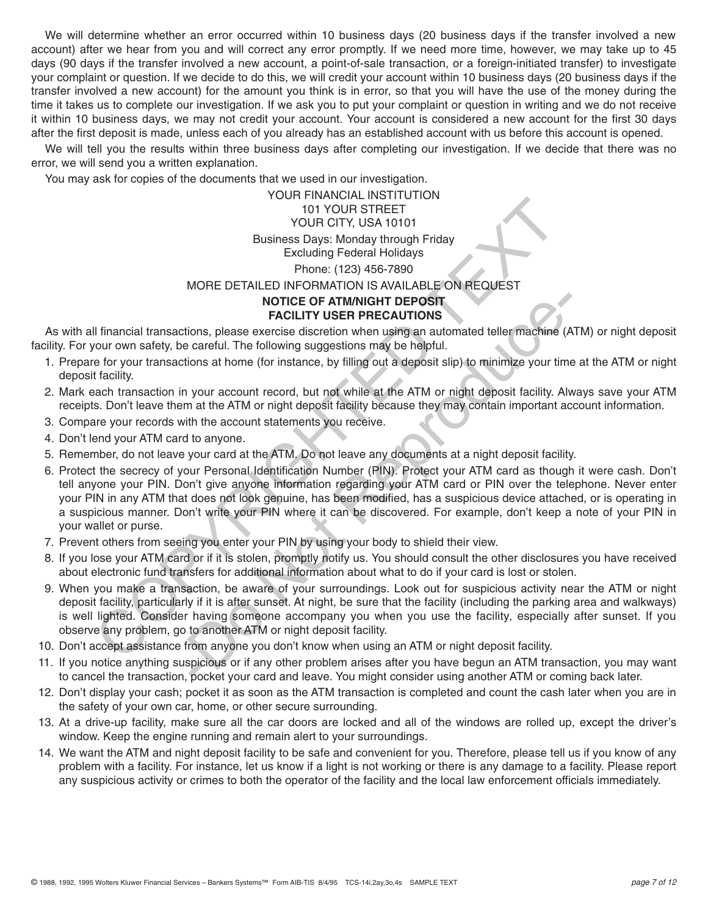We will determine whether an error occurred within 10 business days (20 business days if the transfer involved a new account) after we hear from you and will correct any error promptly. If we need more time, however, we may take up to 45 days (90 days if the transfer involved a new account, a point-of-sale transaction, or a foreign-initiated transfer) to investigate your complaint or question. If we decide to do this, we will credit your account within 10 business days (20 business days if the transfer involved a new account) for the amount you think is in error, so that you will have the use of the money during the time it takes us to complete our investigation. If we ask you to put your complaint or question in writing and we do not receive it within 10 business days, we may not credit your account. Your account is considered a new account for the first 30 days after the first deposit is made, unless each of you already has an established account with us before this account is opened.

We will tell you the results within three business days after completing our investigation. If we decide that there was no error, we will send you a written explanation.

You may ask for copies of the documents that we used in our investigation.

# YOUR FINANCIAL INSTITUTION 101 YOUR STREET YOUR CITY, USA 10101 Business Days: Monday through Friday Excluding Federal Holidays Phone: (123) 456-7890 MORE DETAILED INFORMATION IS AVAILABLE ON REQUEST **NOTICE OF ATM/NIGHT DEPOSIT FACILITY USER PRECAUTIONS** TO YOUR STREET<br>
DIVIDUAL STREET<br>
DIVIDUAL STREET<br>
DIVIDUAL STREET<br>
DIVIDUAL STREET<br>
DIVIDUAL STREET<br>
DIVIDUAL STREET<br>
DIVIDUAL STREET<br>
POWER DETAILED INFORMATION IS AVAILABLE ON REQUEST<br>
NORE DETAILED INFORMATION IS AVAILA

As with all financial transactions, please exercise discretion when using an automated teller machine (ATM) or night deposit facility. For your own safety, be careful. The following suggestions may be helpful.

- 1. Prepare for your transactions at home (for instance, by filling out a deposit slip) to minimize your time at the ATM or night deposit facility.
- 2. Mark each transaction in your account record, but not while at the ATM or night deposit facility. Always save your ATM receipts. Don't leave them at the ATM or night deposit facility because they may contain important account information.
- 3. Compare your records with the account statements you receive.
- 4. Don't lend your ATM card to anyone.
- 5. Remember, do not leave your card at the ATM. Do not leave any documents at a night deposit facility.
- 6. Protect the secrecy of your Personal Identification Number (PIN). Protect your ATM card as though it were cash. Don't tell anyone your PIN. Don't give anyone information regarding your ATM card or PIN over the telephone. Never enter your PIN in any ATM that does not look genuine, has been modified, has a suspicious device attached, or is operating in a suspicious manner. Don't write your PIN where it can be discovered. For example, don't keep a note of your PIN in your wallet or purse. **FACILITY USER PRECAUTIONS**<br> **FACILITY USER PRECAUTIONS**<br> **FACILITY USER PRECAUTIONS**<br> **FACILITY USER PRECAUTIONS**<br>
corareful. The following suggestions may be helpful.<br>
Lions at home (for instance, by filling out a deposi
- 7. Prevent others from seeing you enter your PIN by using your body to shield their view.
- 8. If you lose your ATM card or if it is stolen, promptly notify us. You should consult the other disclosures you have received about electronic fund transfers for additional information about what to do if your card is lost or stolen.
- 9. When you make a transaction, be aware of your surroundings. Look out for suspicious activity near the ATM or night deposit facility, particularly if it is after sunset. At night, be sure that the facility (including the parking area and walkways) is well lighted. Consider having someone accompany you when you use the facility, especially after sunset. If you observe any problem, go to another ATM or night deposit facility.
- 10. Don't accept assistance from anyone you don't know when using an ATM or night deposit facility.
- 11. If you notice anything suspicious or if any other problem arises after you have begun an ATM transaction, you may want to cancel the transaction, pocket your card and leave. You might consider using another ATM or coming back later.
- 12. Don't display your cash; pocket it as soon as the ATM transaction is completed and count the cash later when you are in the safety of your own car, home, or other secure surrounding.
- 13. At a drive-up facility, make sure all the car doors are locked and all of the windows are rolled up, except the driver's window. Keep the engine running and remain alert to your surroundings.
- 14. We want the ATM and night deposit facility to be safe and convenient for you. Therefore, please tell us if you know of any problem with a facility. For instance, let us know if a light is not working or there is any damage to a facility. Please report any suspicious activity or crimes to both the operator of the facility and the local law enforcement officials immediately.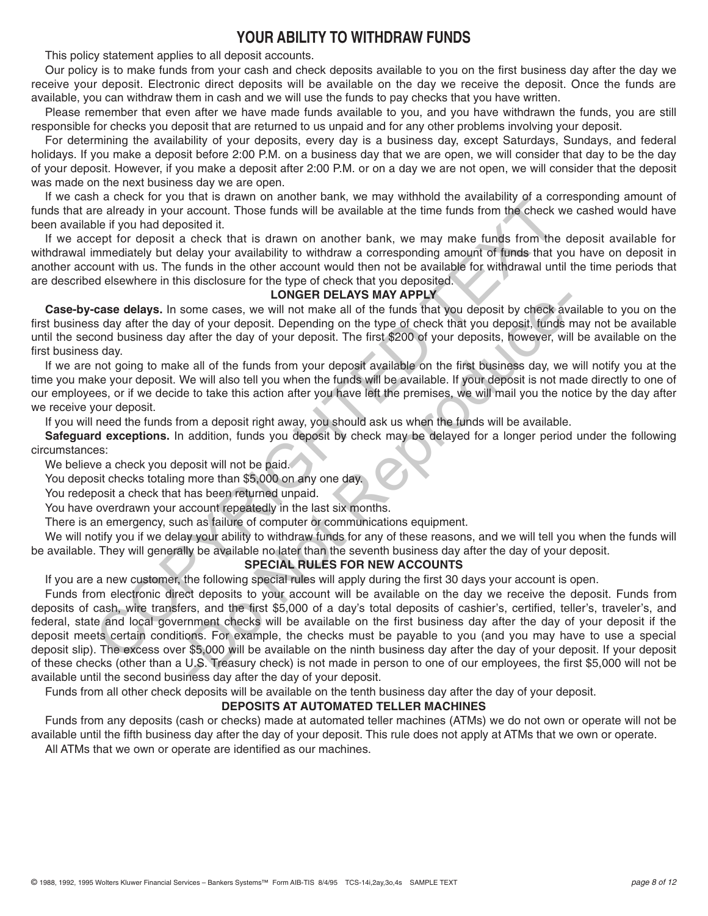# **YOUR ABILITY TO WITHDRAW FUNDS**

This policy statement applies to all deposit accounts.

Our policy is to make funds from your cash and check deposits available to you on the first business day after the day we receive your deposit. Electronic direct deposits will be available on the day we receive the deposit. Once the funds are available, you can withdraw them in cash and we will use the funds to pay checks that you have written.

Please remember that even after we have made funds available to you, and you have withdrawn the funds, you are still responsible for checks you deposit that are returned to us unpaid and for any other problems involving your deposit.

For determining the availability of your deposits, every day is a business day, except Saturdays, Sundays, and federal holidays. If you make a deposit before 2:00 P.M. on a business day that we are open, we will consider that day to be the day of your deposit. However, if you make a deposit after 2:00 P.M. or on a day we are not open, we will consider that the deposit was made on the next business day we are open.

If we cash a check for you that is drawn on another bank, we may withhold the availability of a corresponding amount of funds that are already in your account. Those funds will be available at the time funds from the check we cashed would have been available if you had deposited it.

If we accept for deposit a check that is drawn on another bank, we may make funds from the deposit available for withdrawal immediately but delay your availability to withdraw a corresponding amount of funds that you have on deposit in another account with us. The funds in the other account would then not be available for withdrawal until the time periods that are described elsewhere in this disclosure for the type of check that you deposited.

## **LONGER DELAYS MAY APPLY**

**Case-by-case delays.** In some cases, we will not make all of the funds that you deposit by check available to you on the first business day after the day of your deposit. Depending on the type of check that you deposit, funds may not be available until the second business day after the day of your deposit. The first \$200 of your deposits, however, will be available on the first business day.

If we are not going to make all of the funds from your deposit available on the first business day, we will notify you at the time you make your deposit. We will also tell you when the funds will be available. If your deposit is not made directly to one of our employees, or if we decide to take this action after you have left the premises, we will mail you the notice by the day after we receive your deposit.

If you will need the funds from a deposit right away, you should ask us when the funds will be available.

**Safeguard exceptions.** In addition, funds you deposit by check may be delayed for a longer period under the following circumstances:

We believe a check you deposit will not be paid.

You deposit checks totaling more than \$5,000 on any one day.

You redeposit a check that has been returned unpaid.

You have overdrawn your account repeatedly in the last six months.

There is an emergency, such as failure of computer or communications equipment.

We will notify you if we delay your ability to withdraw funds for any of these reasons, and we will tell you when the funds will be available. They will generally be available no later than the seventh business day after the day of your deposit.

#### **SPECIAL RULES FOR NEW ACCOUNTS**

If you are a new customer, the following special rules will apply during the first 30 days your account is open.

Funds from electronic direct deposits to your account will be available on the day we receive the deposit. Funds from deposits of cash, wire transfers, and the first \$5,000 of a day's total deposits of cashier's, certified, teller's, traveler's, and federal, state and local government checks will be available on the first business day after the day of your deposit if the deposit meets certain conditions. For example, the checks must be payable to you (and you may have to use a special deposit slip). The excess over \$5,000 will be available on the ninth business day after the day of your deposit. If your deposit of these checks (other than a U.S. Treasury check) is not made in person to one of our employees, the first \$5,000 will not be available until the second business day after the day of your deposit. In a breact to you that is usawn to in attorney hand the will be available at the time function in the check we<br>nee the distributed it.<br>The relation in the standary of a control in the standary was compared in the distribu **LOWGEN DELAYS MAY APPLY**<br>come cases, we will not make all of the funds that you deposit by check ave<br>of y or your deposit. Depending on the type of check that you deposit, funds after the day of your deposit. The first \$2

Funds from all other check deposits will be available on the tenth business day after the day of your deposit.

#### **DEPOSITS AT AUTOMATED TELLER MACHINES**

Funds from any deposits (cash or checks) made at automated teller machines (ATMs) we do not own or operate will not be available until the fifth business day after the day of your deposit. This rule does not apply at ATMs that we own or operate. All ATMs that we own or operate are identified as our machines.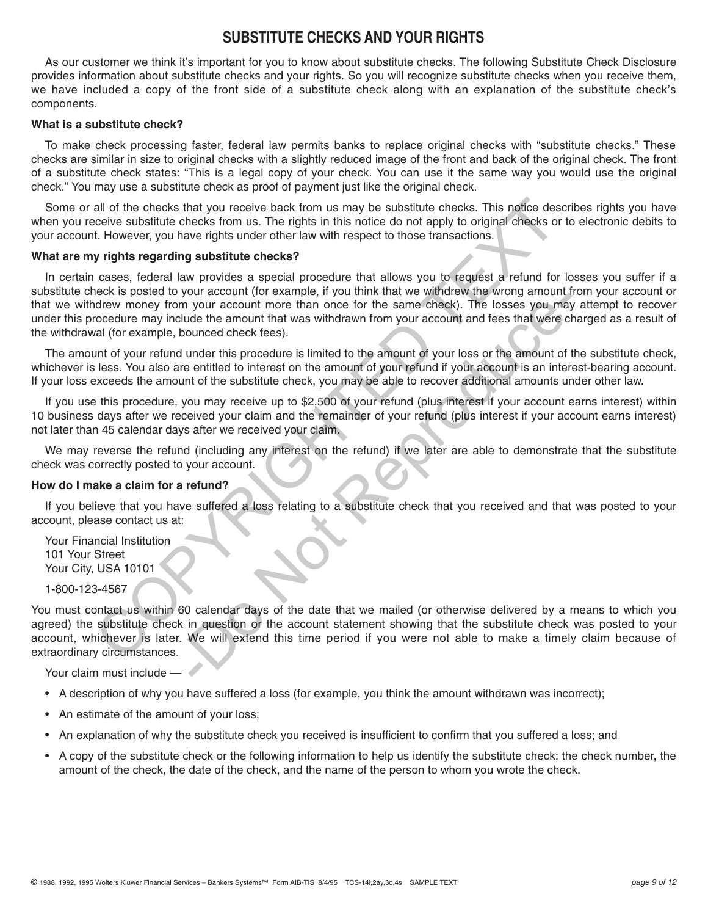# **SUBSTITUTE CHECKS AND YOUR RIGHTS**

As our customer we think it's important for you to know about substitute checks. The following Substitute Check Disclosure provides information about substitute checks and your rights. So you will recognize substitute checks when you receive them, we have included a copy of the front side of a substitute check along with an explanation of the substitute check's components.

#### **What is a substitute check?**

To make check processing faster, federal law permits banks to replace original checks with "substitute checks." These checks are similar in size to original checks with a slightly reduced image of the front and back of the original check. The front of a substitute check states: "This is a legal copy of your check. You can use it the same way you would use the original check." You may use a substitute check as proof of payment just like the original check.

Some or all of the checks that you receive back from us may be substitute checks. This notice describes rights you have when you receive substitute checks from us. The rights in this notice do not apply to original checks or to electronic debits to your account. However, you have rights under other law with respect to those transactions.

#### **What are my rights regarding substitute checks?**

In certain cases, federal law provides a special procedure that allows you to request a refund for losses you suffer if a substitute check is posted to your account (for example, if you think that we withdrew the wrong amount from your account or that we withdrew money from your account more than once for the same check). The losses you may attempt to recover under this procedure may include the amount that was withdrawn from your account and fees that were charged as a result of the withdrawal (for example, bounced check fees). all of the checks that you receive back from us may be substitute checks. This notice descreeive substitute checks from us. The right in this in the indice do not apply to original checks or the control of the right in thi

The amount of your refund under this procedure is limited to the amount of your loss or the amount of the substitute check, whichever is less. You also are entitled to interest on the amount of your refund if your account is an interest-bearing account. If your loss exceeds the amount of the substitute check, you may be able to recover additional amounts under other law.

If you use this procedure, you may receive up to \$2,500 of your refund (plus interest if your account earns interest) within 10 business days after we received your claim and the remainder of your refund (plus interest if your account earns interest) not later than 45 calendar days after we received your claim.

We may reverse the refund (including any interest on the refund) if we later are able to demonstrate that the substitute check was correctly posted to your account.

#### **How do I make a claim for a refund?**

If you believe that you have suffered a loss relating to a substitute check that you received and that was posted to your account, please contact us at:

Your Financial Institution 101 Your Street Your City, USA 10101

#### 1-800-123-4567

You must contact us within 60 calendar days of the date that we mailed (or otherwise delivered by a means to which you agreed) the substitute check in question or the account statement showing that the substitute check was posted to your account, whichever is later. We will extend this time period if you were not able to make a timely claim because of extraordinary circumstances. Not account (in cluding), in your amount with the same check). The losses you may<br>be the amount more than once for the same check). The losses you may<br>due the amount that was withdrawn from your account and fees that were

Your claim must include —

- A description of why you have suffered a loss (for example, you think the amount withdrawn was incorrect);
- An estimate of the amount of your loss;
- An explanation of why the substitute check you received is insufficient to confirm that you suffered a loss; and
- A copy of the substitute check or the following information to help us identify the substitute check: the check number, the amount of the check, the date of the check, and the name of the person to whom you wrote the check.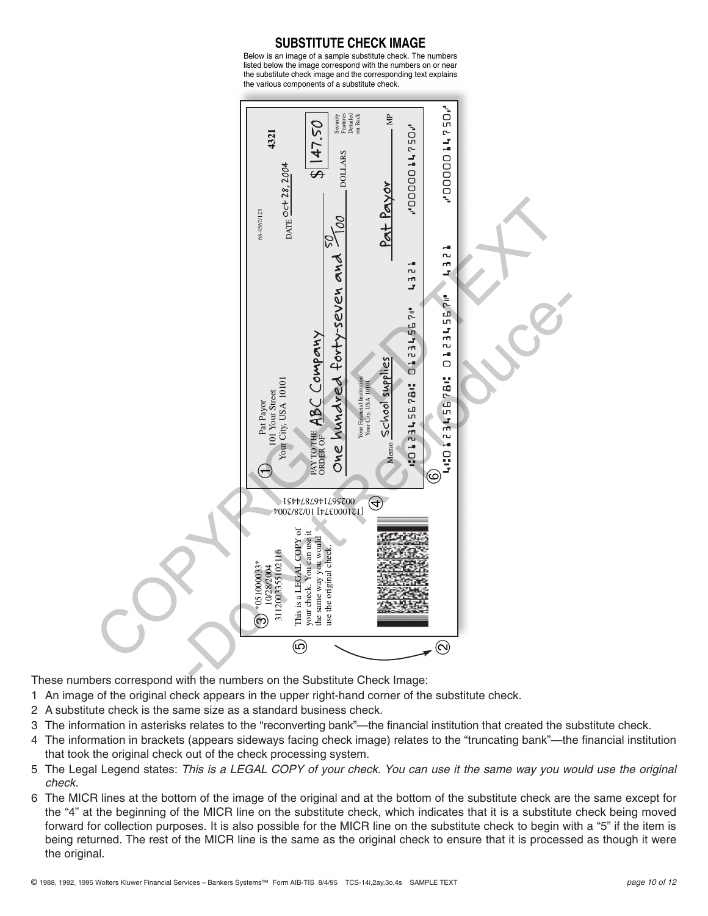**SUBSTITUTE CHECK IMAGE** Below is an image of a sample substitute check. The numbers listed below the image correspond with the numbers on or near the substitute check image and the corresponding text explains the various components of a substitute check.



These numbers correspond with the numbers on the Substitute Check Image:

- 1 An image of the original check appears in the upper right-hand corner of the substitute check.
- 2 A substitute check is the same size as a standard business check.
- 3 The information in asterisks relates to the "reconverting bank"—the financial institution that created the substitute check.
- 4 The information in brackets (appears sideways facing check image) relates to the "truncating bank"—the financial institution that took the original check out of the check processing system.
- 5 The Legal Legend states: *This is a LEGAL COPY of your check. You can use it the same way you would use the original check.*
- 6 The MICR lines at the bottom of the image of the original and at the bottom of the substitute check are the same except for the "4" at the beginning of the MICR line on the substitute check, which indicates that it is a substitute check being moved forward for collection purposes. It is also possible for the MICR line on the substitute check to begin with a "5" if the item is being returned. The rest of the MICR line is the same as the original check to ensure that it is processed as though it were the original.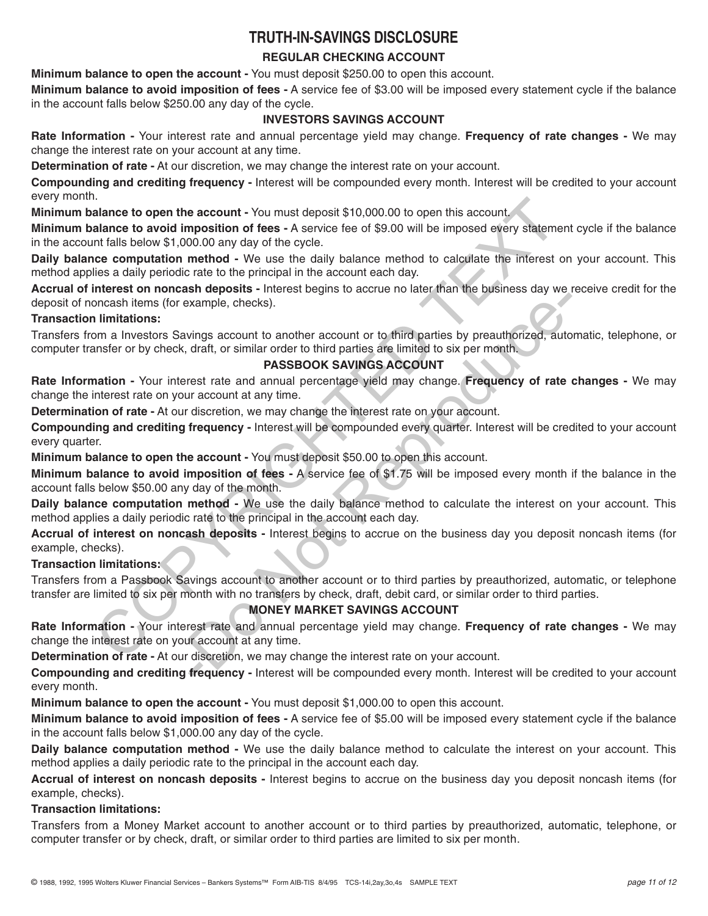# **TRUTH-IN-SAVINGS DISCLOSURE**

# **REGULAR CHECKING ACCOUNT**

**Minimum balance to open the account -** You must deposit \$250.00 to open this account.

**Minimum balance to avoid imposition of fees -** A service fee of \$3.00 will be imposed every statement cycle if the balance in the account falls below \$250.00 any day of the cycle.

# **INVESTORS SAVINGS ACCOUNT**

**Rate Information -** Your interest rate and annual percentage yield may change. **Frequency of rate changes -** We may change the interest rate on your account at any time.

**Determination of rate -** At our discretion, we may change the interest rate on your account.

**Compounding and crediting frequency -** Interest will be compounded every month. Interest will be credited to your account every month.

**Minimum balance to open the account -** You must deposit \$10,000.00 to open this account.

**Minimum balance to avoid imposition of fees -** A service fee of \$9.00 will be imposed every statement cycle if the balance in the account falls below \$1,000.00 any day of the cycle.

**Daily balance computation method -** We use the daily balance method to calculate the interest on your account. This method applies a daily periodic rate to the principal in the account each day.

**Accrual of interest on noncash deposits -** Interest begins to accrue no later than the business day we receive credit for the deposit of noncash items (for example, checks).

## **Transaction limitations:**

Transfers from a Investors Savings account to another account or to third parties by preauthorized, automatic, telephone, or computer transfer or by check, draft, or similar order to third parties are limited to six per month.

# **PASSBOOK SAVINGS ACCOUNT**

**Rate Information -** Your interest rate and annual percentage yield may change. **Frequency of rate changes -** We may change the interest rate on your account at any time.

**Determination of rate -** At our discretion, we may change the interest rate on your account.

**Compounding and crediting frequency -** Interest will be compounded every quarter. Interest will be credited to your account every quarter. I.<br>In anne to open the account - You must deposit \$10,000.00 to open this account<br>alance to open the account - You must deposit \$10,000.00 open this account<br>and late bow \$1,000.00 any day of the cycle.<br>
In talis below \$1,0 Example, checks).<br>
Simple, checks).<br>
Simple, checks).<br>
Simple, checks).<br>
The count of a mark time are limited to six per month.<br> **PASSBOOK SAVINGS ACCOUNT**<br> **PASSBOOK SAVINGS ACCOUNT**<br>
The count at any time are limited to

**Minimum balance to open the account -** You must deposit \$50.00 to open this account.

**Minimum balance to avoid imposition of fees -** A service fee of \$1.75 will be imposed every month if the balance in the account falls below \$50.00 any day of the month.

**Daily balance computation method -** We use the daily balance method to calculate the interest on your account. This method applies a daily periodic rate to the principal in the account each day.

**Accrual of interest on noncash deposits -** Interest begins to accrue on the business day you deposit noncash items (for example, checks).

# **Transaction limitations:**

Transfers from a Passbook Savings account to another account or to third parties by preauthorized, automatic, or telephone transfer are limited to six per month with no transfers by check, draft, debit card, or similar order to third parties.

# **MONEY MARKET SAVINGS ACCOUNT**

**Rate Information -** Your interest rate and annual percentage yield may change. **Frequency of rate changes -** We may change the interest rate on your account at any time.

**Determination of rate -** At our discretion, we may change the interest rate on your account.

**Compounding and crediting frequency -** Interest will be compounded every month. Interest will be credited to your account every month.

**Minimum balance to open the account -** You must deposit \$1,000.00 to open this account.

**Minimum balance to avoid imposition of fees -** A service fee of \$5.00 will be imposed every statement cycle if the balance in the account falls below \$1,000.00 any day of the cycle.

**Daily balance computation method -** We use the daily balance method to calculate the interest on your account. This method applies a daily periodic rate to the principal in the account each day.

**Accrual of interest on noncash deposits -** Interest begins to accrue on the business day you deposit noncash items (for example, checks).

## **Transaction limitations:**

Transfers from a Money Market account to another account or to third parties by preauthorized, automatic, telephone, or computer transfer or by check, draft, or similar order to third parties are limited to six per month.